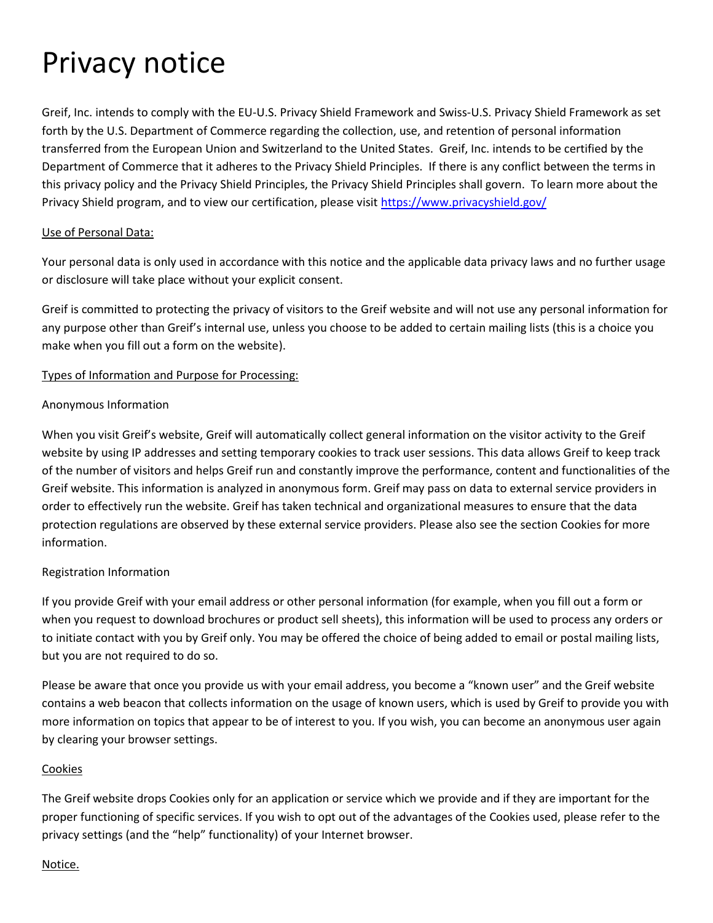# Privacy notice

Greif, Inc. intends to comply with the EU-U.S. Privacy Shield Framework and Swiss-U.S. Privacy Shield Framework as set forth by the U.S. Department of Commerce regarding the collection, use, and retention of personal information transferred from the European Union and Switzerland to the United States. Greif, Inc. intends to be certified by the Department of Commerce that it adheres to the Privacy Shield Principles. If there is any conflict between the terms in this privacy policy and the Privacy Shield Principles, the Privacy Shield Principles shall govern. To learn more about the Privacy Shield program, and to view our certification, please visit <https://www.privacyshield.gov/>

#### Use of Personal Data:

Your personal data is only used in accordance with this notice and the applicable data privacy laws and no further usage or disclosure will take place without your explicit consent.

Greif is committed to protecting the privacy of visitors to the Greif website and will not use any personal information for any purpose other than Greif's internal use, unless you choose to be added to certain mailing lists (this is a choice you make when you fill out a form on the website).

#### Types of Information and Purpose for Processing:

#### Anonymous Information

When you visit Greif's website, Greif will automatically collect general information on the visitor activity to the Greif website by using IP addresses and setting temporary cookies to track user sessions. This data allows Greif to keep track of the number of visitors and helps Greif run and constantly improve the performance, content and functionalities of the Greif website. This information is analyzed in anonymous form. Greif may pass on data to external service providers in order to effectively run the website. Greif has taken technical and organizational measures to ensure that the data protection regulations are observed by these external service providers. Please also see the section Cookies for more information.

# Registration Information

If you provide Greif with your email address or other personal information (for example, when you fill out a form or when you request to download brochures or product sell sheets), this information will be used to process any orders or to initiate contact with you by Greif only. You may be offered the choice of being added to email or postal mailing lists, but you are not required to do so.

Please be aware that once you provide us with your email address, you become a "known user" and the Greif website contains a web beacon that collects information on the usage of known users, which is used by Greif to provide you with more information on topics that appear to be of interest to you. If you wish, you can become an anonymous user again by clearing your browser settings.

#### Cookies

The Greif website drops Cookies only for an application or service which we provide and if they are important for the proper functioning of specific services. If you wish to opt out of the advantages of the Cookies used, please refer to the privacy settings (and the "help" functionality) of your Internet browser.

#### Notice.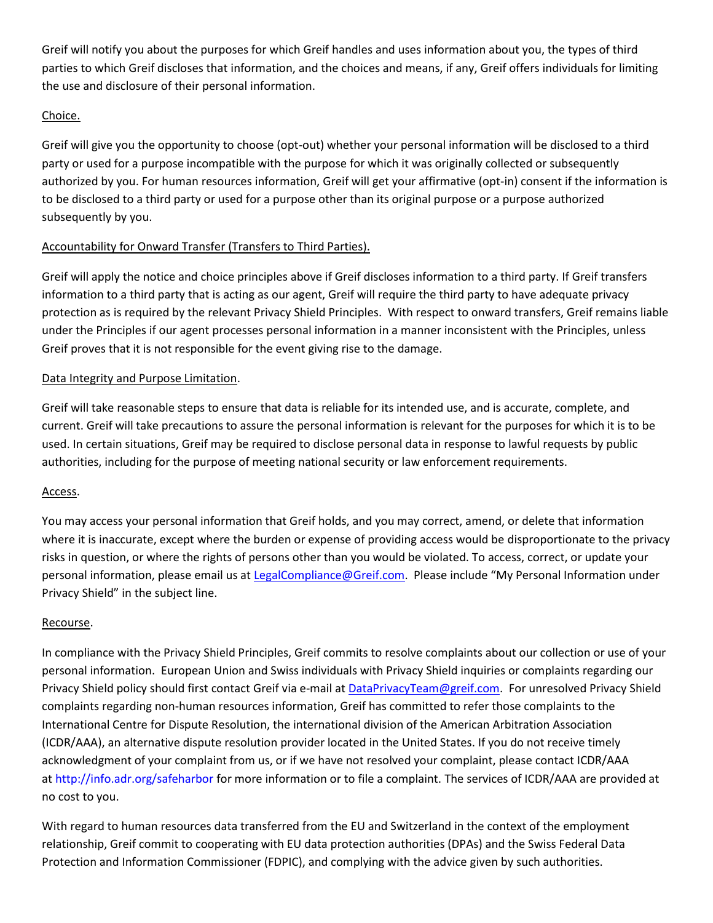Greif will notify you about the purposes for which Greif handles and uses information about you, the types of third parties to which Greif discloses that information, and the choices and means, if any, Greif offers individuals for limiting the use and disclosure of their personal information.

# Choice.

Greif will give you the opportunity to choose (opt-out) whether your personal information will be disclosed to a third party or used for a purpose incompatible with the purpose for which it was originally collected or subsequently authorized by you. For human resources information, Greif will get your affirmative (opt-in) consent if the information is to be disclosed to a third party or used for a purpose other than its original purpose or a purpose authorized subsequently by you.

# Accountability for Onward Transfer (Transfers to Third Parties).

Greif will apply the notice and choice principles above if Greif discloses information to a third party. If Greif transfers information to a third party that is acting as our agent, Greif will require the third party to have adequate privacy protection as is required by the relevant Privacy Shield Principles. With respect to onward transfers, Greif remains liable under the Principles if our agent processes personal information in a manner inconsistent with the Principles, unless Greif proves that it is not responsible for the event giving rise to the damage.

# Data Integrity and Purpose Limitation.

Greif will take reasonable steps to ensure that data is reliable for its intended use, and is accurate, complete, and current. Greif will take precautions to assure the personal information is relevant for the purposes for which it is to be used. In certain situations, Greif may be required to disclose personal data in response to lawful requests by public authorities, including for the purpose of meeting national security or law enforcement requirements.

#### Access.

You may access your personal information that Greif holds, and you may correct, amend, or delete that information where it is inaccurate, except where the burden or expense of providing access would be disproportionate to the privacy risks in question, or where the rights of persons other than you would be violated. To access, correct, or update your personal information, please email us at [LegalCompliance@Greif.com.](mailto:LegalCompliance@Greif.com) Please include "My Personal Information under Privacy Shield" in the subject line.

#### Recourse.

In compliance with the Privacy Shield Principles, Greif commits to resolve complaints about our collection or use of your personal information. European Union and Swiss individuals with Privacy Shield inquiries or complaints regarding our Privacy Shield policy should first contact Greif via e-mail at [DataPrivacyTeam@greif.com.](mailto:DataPrivacyTeam@greif.com) For unresolved Privacy Shield complaints regarding non-human resources information, Greif has committed to refer those complaints to the International Centre for Dispute Resolution, the international division of the American Arbitration Association (ICDR/AAA), an alternative dispute resolution provider located in the United States. If you do not receive timely acknowledgment of your complaint from us, or if we have not resolved your complaint, please contact ICDR/AAA at <http://info.adr.org/safeharbor> for more information or to file a complaint. The services of ICDR/AAA are provided at no cost to you.

With regard to human resources data transferred from the EU and Switzerland in the context of the employment relationship, Greif commit to cooperating with EU data protection authorities (DPAs) and the Swiss Federal Data Protection and Information Commissioner (FDPIC), and complying with the advice given by such authorities.